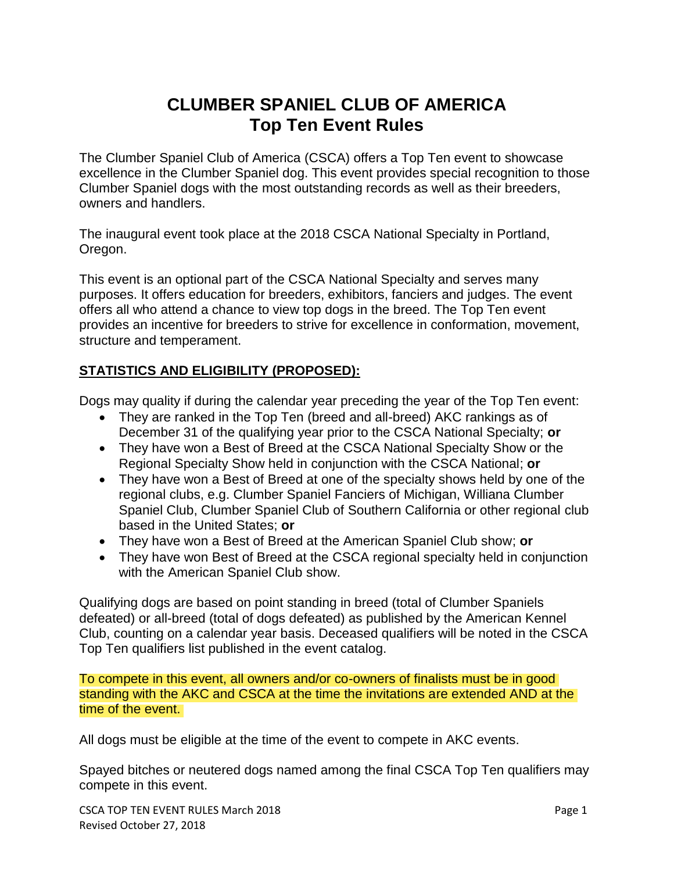# **CLUMBER SPANIEL CLUB OF AMERICA Top Ten Event Rules**

The Clumber Spaniel Club of America (CSCA) offers a Top Ten event to showcase excellence in the Clumber Spaniel dog. This event provides special recognition to those Clumber Spaniel dogs with the most outstanding records as well as their breeders, owners and handlers.

The inaugural event took place at the 2018 CSCA National Specialty in Portland, Oregon.

This event is an optional part of the CSCA National Specialty and serves many purposes. It offers education for breeders, exhibitors, fanciers and judges. The event offers all who attend a chance to view top dogs in the breed. The Top Ten event provides an incentive for breeders to strive for excellence in conformation, movement, structure and temperament.

### **STATISTICS AND ELIGIBILITY (PROPOSED):**

Dogs may quality if during the calendar year preceding the year of the Top Ten event:

- They are ranked in the Top Ten (breed and all-breed) AKC rankings as of December 31 of the qualifying year prior to the CSCA National Specialty; **or**
- They have won a Best of Breed at the CSCA National Specialty Show or the Regional Specialty Show held in conjunction with the CSCA National; **or**
- They have won a Best of Breed at one of the specialty shows held by one of the regional clubs, e.g. Clumber Spaniel Fanciers of Michigan, Williana Clumber Spaniel Club, Clumber Spaniel Club of Southern California or other regional club based in the United States; **or**
- They have won a Best of Breed at the American Spaniel Club show; **or**
- They have won Best of Breed at the CSCA regional specialty held in conjunction with the American Spaniel Club show.

Qualifying dogs are based on point standing in breed (total of Clumber Spaniels defeated) or all-breed (total of dogs defeated) as published by the American Kennel Club, counting on a calendar year basis. Deceased qualifiers will be noted in the CSCA Top Ten qualifiers list published in the event catalog.

To compete in this event, all owners and/or co-owners of finalists must be in good standing with the AKC and CSCA at the time the invitations are extended AND at the time of the event.

All dogs must be eligible at the time of the event to compete in AKC events.

Spayed bitches or neutered dogs named among the final CSCA Top Ten qualifiers may compete in this event.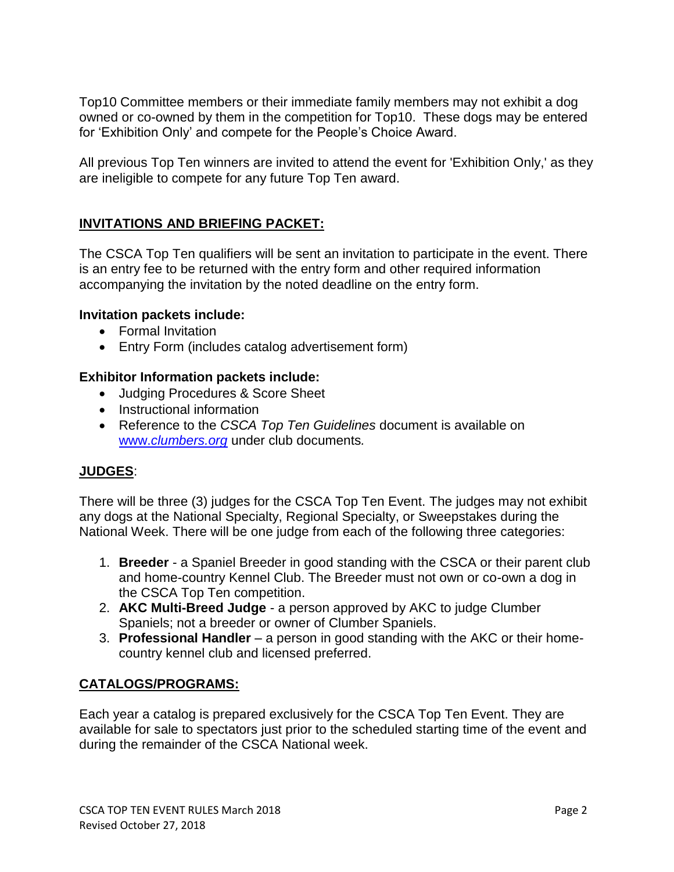Top10 Committee members or their immediate family members may not exhibit a dog owned or co-owned by them in the competition for Top10. These dogs may be entered for 'Exhibition Only' and compete for the People's Choice Award.

All previous Top Ten winners are invited to attend the event for 'Exhibition Only,' as they are ineligible to compete for any future Top Ten award.

## **INVITATIONS AND BRIEFING PACKET:**

The CSCA Top Ten qualifiers will be sent an invitation to participate in the event. There is an entry fee to be returned with the entry form and other required information accompanying the invitation by the noted deadline on the entry form.

#### **Invitation packets include:**

- Formal Invitation
- Entry Form (includes catalog advertisement form)

#### **Exhibitor Information packets include:**

- Judging Procedures & Score Sheet
- Instructional information
- Reference to the *CSCA Top Ten Guidelines* document is available on www.*[clumbers.org](http://www.clumbers.org/)* under club documents*.*

### **JUDGES**:

There will be three (3) judges for the CSCA Top Ten Event. The judges may not exhibit any dogs at the National Specialty, Regional Specialty, or Sweepstakes during the National Week. There will be one judge from each of the following three categories:

- 1. **Breeder** a Spaniel Breeder in good standing with the CSCA or their parent club and home-country Kennel Club. The Breeder must not own or co-own a dog in the CSCA Top Ten competition.
- 2. **AKC Multi-Breed Judge** a person approved by AKC to judge Clumber Spaniels; not a breeder or owner of Clumber Spaniels.
- 3. **Professional Handler** a person in good standing with the AKC or their homecountry kennel club and licensed preferred.

### **CATALOGS/PROGRAMS:**

Each year a catalog is prepared exclusively for the CSCA Top Ten Event. They are available for sale to spectators just prior to the scheduled starting time of the event and during the remainder of the CSCA National week.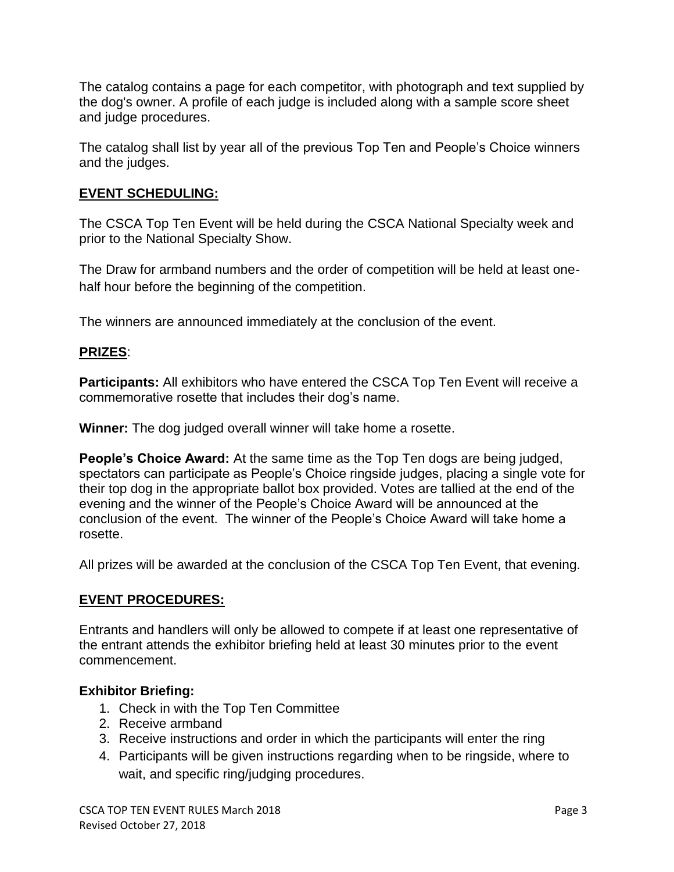The catalog contains a page for each competitor, with photograph and text supplied by the dog's owner. A profile of each judge is included along with a sample score sheet and judge procedures.

The catalog shall list by year all of the previous Top Ten and People's Choice winners and the judges.

## **EVENT SCHEDULING:**

The CSCA Top Ten Event will be held during the CSCA National Specialty week and prior to the National Specialty Show.

The Draw for armband numbers and the order of competition will be held at least onehalf hour before the beginning of the competition.

The winners are announced immediately at the conclusion of the event.

### **PRIZES**:

**Participants:** All exhibitors who have entered the CSCA Top Ten Event will receive a commemorative rosette that includes their dog's name.

**Winner:** The dog judged overall winner will take home a rosette.

**People's Choice Award:** At the same time as the Top Ten dogs are being judged, spectators can participate as People's Choice ringside judges, placing a single vote for their top dog in the appropriate ballot box provided. Votes are tallied at the end of the evening and the winner of the People's Choice Award will be announced at the conclusion of the event. The winner of the People's Choice Award will take home a rosette.

All prizes will be awarded at the conclusion of the CSCA Top Ten Event, that evening.

#### **EVENT PROCEDURES:**

Entrants and handlers will only be allowed to compete if at least one representative of the entrant attends the exhibitor briefing held at least 30 minutes prior to the event commencement.

#### **Exhibitor Briefing:**

- 1. Check in with the Top Ten Committee
- 2. Receive armband
- 3. Receive instructions and order in which the participants will enter the ring
- 4. Participants will be given instructions regarding when to be ringside, where to wait, and specific ring/judging procedures.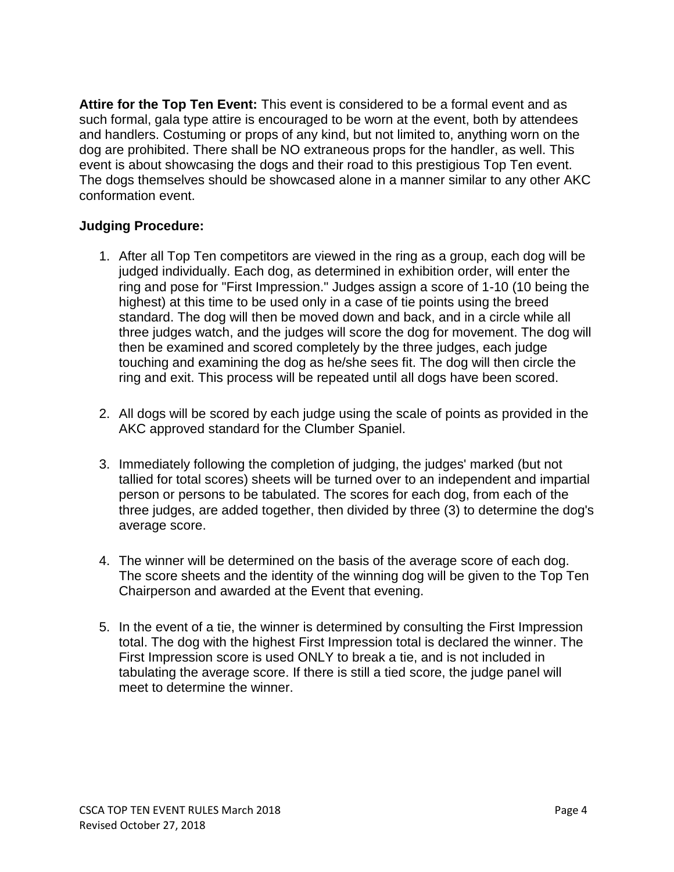**Attire for the Top Ten Event:** This event is considered to be a formal event and as such formal, gala type attire is encouraged to be worn at the event, both by attendees and handlers. Costuming or props of any kind, but not limited to, anything worn on the dog are prohibited. There shall be NO extraneous props for the handler, as well. This event is about showcasing the dogs and their road to this prestigious Top Ten event. The dogs themselves should be showcased alone in a manner similar to any other AKC conformation event.

#### **Judging Procedure:**

- 1. After all Top Ten competitors are viewed in the ring as a group, each dog will be judged individually. Each dog, as determined in exhibition order, will enter the ring and pose for "First Impression." Judges assign a score of 1-10 (10 being the highest) at this time to be used only in a case of tie points using the breed standard. The dog will then be moved down and back, and in a circle while all three judges watch, and the judges will score the dog for movement. The dog will then be examined and scored completely by the three judges, each judge touching and examining the dog as he/she sees fit. The dog will then circle the ring and exit. This process will be repeated until all dogs have been scored.
- 2. All dogs will be scored by each judge using the scale of points as provided in the AKC approved standard for the Clumber Spaniel.
- 3. Immediately following the completion of judging, the judges' marked (but not tallied for total scores) sheets will be turned over to an independent and impartial person or persons to be tabulated. The scores for each dog, from each of the three judges, are added together, then divided by three (3) to determine the dog's average score.
- 4. The winner will be determined on the basis of the average score of each dog. The score sheets and the identity of the winning dog will be given to the Top Ten Chairperson and awarded at the Event that evening.
- 5. In the event of a tie, the winner is determined by consulting the First Impression total. The dog with the highest First Impression total is declared the winner. The First Impression score is used ONLY to break a tie, and is not included in tabulating the average score. If there is still a tied score, the judge panel will meet to determine the winner.